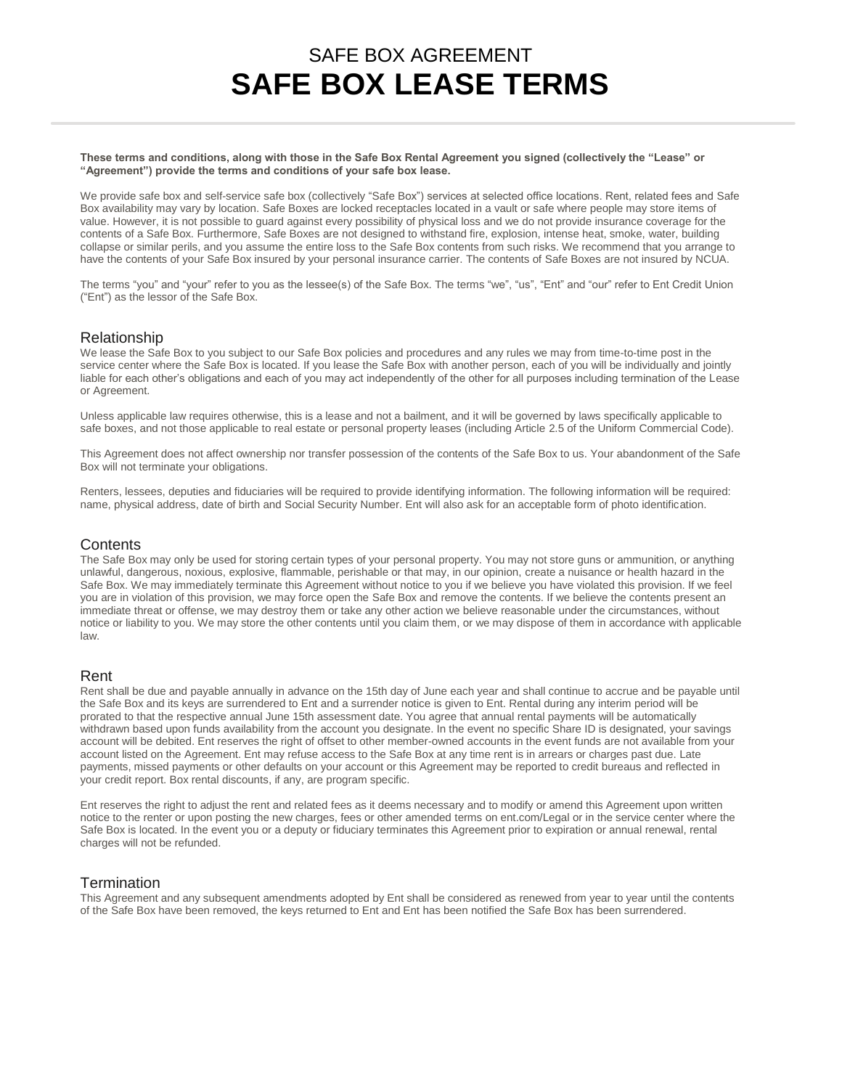# SAFE BOX AGREEMENT **SAFE BOX LEASE TERMS**

**These terms and conditions, along with those in the Safe Box Rental Agreement you signed (collectively the "Lease" or "Agreement") provide the terms and conditions of your safe box lease.**

We provide safe box and self-service safe box (collectively "Safe Box") services at selected office locations. Rent, related fees and Safe Box availability may vary by location. Safe Boxes are locked receptacles located in a vault or safe where people may store items of value. However, it is not possible to guard against every possibility of physical loss and we do not provide insurance coverage for the contents of a Safe Box. Furthermore, Safe Boxes are not designed to withstand fire, explosion, intense heat, smoke, water, building collapse or similar perils, and you assume the entire loss to the Safe Box contents from such risks. We recommend that you arrange to have the contents of your Safe Box insured by your personal insurance carrier. The contents of Safe Boxes are not insured by NCUA.

The terms "you" and "your" refer to you as the lessee(s) of the Safe Box. The terms "we", "us", "Ent" and "our" refer to Ent Credit Union ("Ent") as the lessor of the Safe Box.

## Relationship

We lease the Safe Box to you subject to our Safe Box policies and procedures and any rules we may from time-to-time post in the service center where the Safe Box is located. If you lease the Safe Box with another person, each of you will be individually and jointly liable for each other's obligations and each of you may act independently of the other for all purposes including termination of the Lease or Agreement.

Unless applicable law requires otherwise, this is a lease and not a bailment, and it will be governed by laws specifically applicable to safe boxes, and not those applicable to real estate or personal property leases (including Article 2.5 of the Uniform Commercial Code).

This Agreement does not affect ownership nor transfer possession of the contents of the Safe Box to us. Your abandonment of the Safe Box will not terminate your obligations.

Renters, lessees, deputies and fiduciaries will be required to provide identifying information. The following information will be required: name, physical address, date of birth and Social Security Number. Ent will also ask for an acceptable form of photo identification.

### **Contents**

The Safe Box may only be used for storing certain types of your personal property. You may not store guns or ammunition, or anything unlawful, dangerous, noxious, explosive, flammable, perishable or that may, in our opinion, create a nuisance or health hazard in the Safe Box. We may immediately terminate this Agreement without notice to you if we believe you have violated this provision. If we feel you are in violation of this provision, we may force open the Safe Box and remove the contents. If we believe the contents present an immediate threat or offense, we may destroy them or take any other action we believe reasonable under the circumstances, without notice or liability to you. We may store the other contents until you claim them, or we may dispose of them in accordance with applicable law.

### Rent

Rent shall be due and payable annually in advance on the 15th day of June each year and shall continue to accrue and be payable until the Safe Box and its keys are surrendered to Ent and a surrender notice is given to Ent. Rental during any interim period will be prorated to that the respective annual June 15th assessment date. You agree that annual rental payments will be automatically withdrawn based upon funds availability from the account you designate. In the event no specific Share ID is designated, your savings account will be debited. Ent reserves the right of offset to other member-owned accounts in the event funds are not available from your account listed on the Agreement. Ent may refuse access to the Safe Box at any time rent is in arrears or charges past due. Late payments, missed payments or other defaults on your account or this Agreement may be reported to credit bureaus and reflected in your credit report. Box rental discounts, if any, are program specific.

Ent reserves the right to adjust the rent and related fees as it deems necessary and to modify or amend this Agreement upon written notice to the renter or upon posting the new charges, fees or other amended terms on ent.com/Legal or in the service center where the Safe Box is located. In the event you or a deputy or fiduciary terminates this Agreement prior to expiration or annual renewal, rental charges will not be refunded.

## **Termination**

This Agreement and any subsequent amendments adopted by Ent shall be considered as renewed from year to year until the contents of the Safe Box have been removed, the keys returned to Ent and Ent has been notified the Safe Box has been surrendered.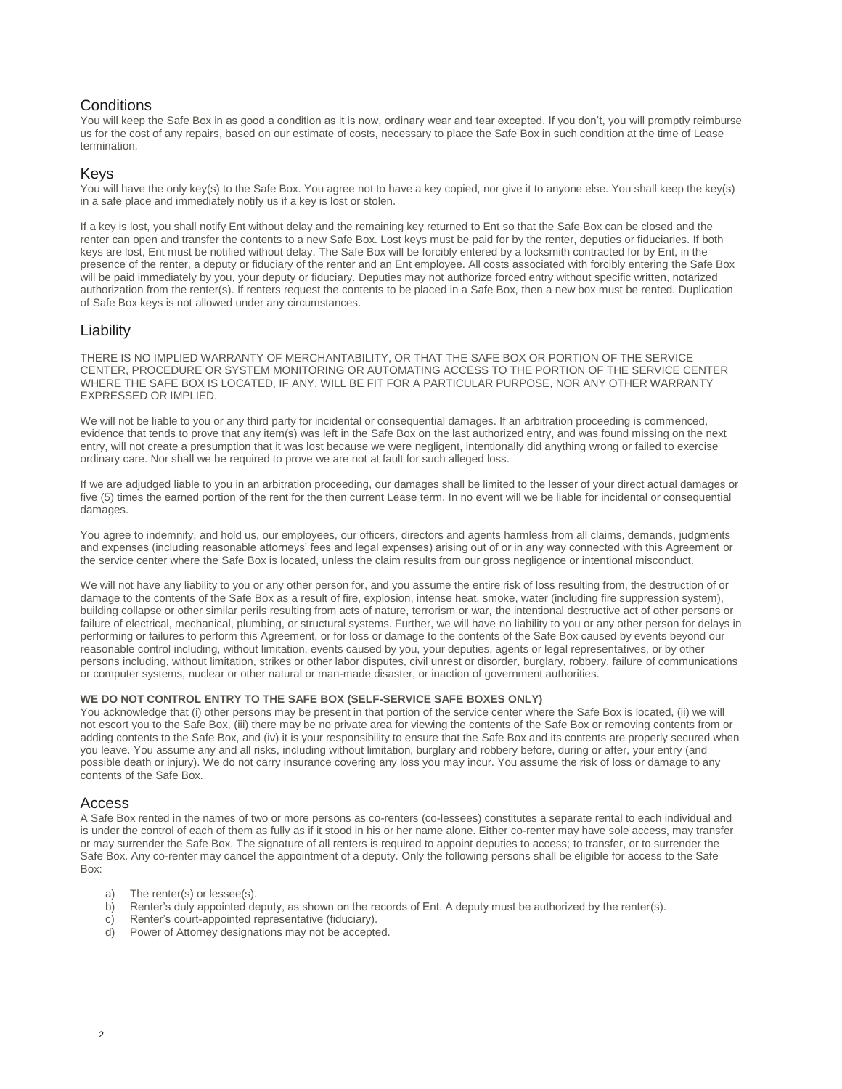# **Conditions**

You will keep the Safe Box in as good a condition as it is now, ordinary wear and tear excepted. If you don't, you will promptly reimburse us for the cost of any repairs, based on our estimate of costs, necessary to place the Safe Box in such condition at the time of Lease termination.

## Keys

You will have the only key(s) to the Safe Box. You agree not to have a key copied, nor give it to anyone else. You shall keep the key(s) in a safe place and immediately notify us if a key is lost or stolen.

If a key is lost, you shall notify Ent without delay and the remaining key returned to Ent so that the Safe Box can be closed and the renter can open and transfer the contents to a new Safe Box. Lost keys must be paid for by the renter, deputies or fiduciaries. If both keys are lost, Ent must be notified without delay. The Safe Box will be forcibly entered by a locksmith contracted for by Ent, in the presence of the renter, a deputy or fiduciary of the renter and an Ent employee. All costs associated with forcibly entering the Safe Box will be paid immediately by you, your deputy or fiduciary. Deputies may not authorize forced entry without specific written, notarized authorization from the renter(s). If renters request the contents to be placed in a Safe Box, then a new box must be rented. Duplication of Safe Box keys is not allowed under any circumstances.

## Liability

THERE IS NO IMPLIED WARRANTY OF MERCHANTABILITY, OR THAT THE SAFE BOX OR PORTION OF THE SERVICE CENTER, PROCEDURE OR SYSTEM MONITORING OR AUTOMATING ACCESS TO THE PORTION OF THE SERVICE CENTER WHERE THE SAFE BOX IS LOCATED, IF ANY, WILL BE FIT FOR A PARTICULAR PURPOSE, NOR ANY OTHER WARRANTY EXPRESSED OR IMPLIED.

We will not be liable to you or any third party for incidental or consequential damages. If an arbitration proceeding is commenced, evidence that tends to prove that any item(s) was left in the Safe Box on the last authorized entry, and was found missing on the next entry, will not create a presumption that it was lost because we were negligent, intentionally did anything wrong or failed to exercise ordinary care. Nor shall we be required to prove we are not at fault for such alleged loss.

If we are adjudged liable to you in an arbitration proceeding, our damages shall be limited to the lesser of your direct actual damages or five (5) times the earned portion of the rent for the then current Lease term. In no event will we be liable for incidental or consequential damages.

You agree to indemnify, and hold us, our employees, our officers, directors and agents harmless from all claims, demands, judgments and expenses (including reasonable attorneys' fees and legal expenses) arising out of or in any way connected with this Agreement or the service center where the Safe Box is located, unless the claim results from our gross negligence or intentional misconduct.

We will not have any liability to you or any other person for, and you assume the entire risk of loss resulting from, the destruction of or damage to the contents of the Safe Box as a result of fire, explosion, intense heat, smoke, water (including fire suppression system), building collapse or other similar perils resulting from acts of nature, terrorism or war, the intentional destructive act of other persons or failure of electrical, mechanical, plumbing, or structural systems. Further, we will have no liability to you or any other person for delays in performing or failures to perform this Agreement, or for loss or damage to the contents of the Safe Box caused by events beyond our reasonable control including, without limitation, events caused by you, your deputies, agents or legal representatives, or by other persons including, without limitation, strikes or other labor disputes, civil unrest or disorder, burglary, robbery, failure of communications or computer systems, nuclear or other natural or man-made disaster, or inaction of government authorities.

#### **WE DO NOT CONTROL ENTRY TO THE SAFE BOX (SELF-SERVICE SAFE BOXES ONLY)**

You acknowledge that (i) other persons may be present in that portion of the service center where the Safe Box is located, (ii) we will not escort you to the Safe Box, (iii) there may be no private area for viewing the contents of the Safe Box or removing contents from or adding contents to the Safe Box, and (iv) it is your responsibility to ensure that the Safe Box and its contents are properly secured when you leave. You assume any and all risks, including without limitation, burglary and robbery before, during or after, your entry (and possible death or injury). We do not carry insurance covering any loss you may incur. You assume the risk of loss or damage to any contents of the Safe Box.

### Access

A Safe Box rented in the names of two or more persons as co-renters (co-lessees) constitutes a separate rental to each individual and is under the control of each of them as fully as if it stood in his or her name alone. Either co-renter may have sole access, may transfer or may surrender the Safe Box. The signature of all renters is required to appoint deputies to access; to transfer, or to surrender the Safe Box. Any co-renter may cancel the appointment of a deputy. Only the following persons shall be eligible for access to the Safe Box:

- a) The renter(s) or lessee(s).
- b) Renter's duly appointed deputy, as shown on the records of Ent. A deputy must be authorized by the renter(s).
- c) Renter's court-appointed representative (fiduciary).
- d) Power of Attorney designations may not be accepted.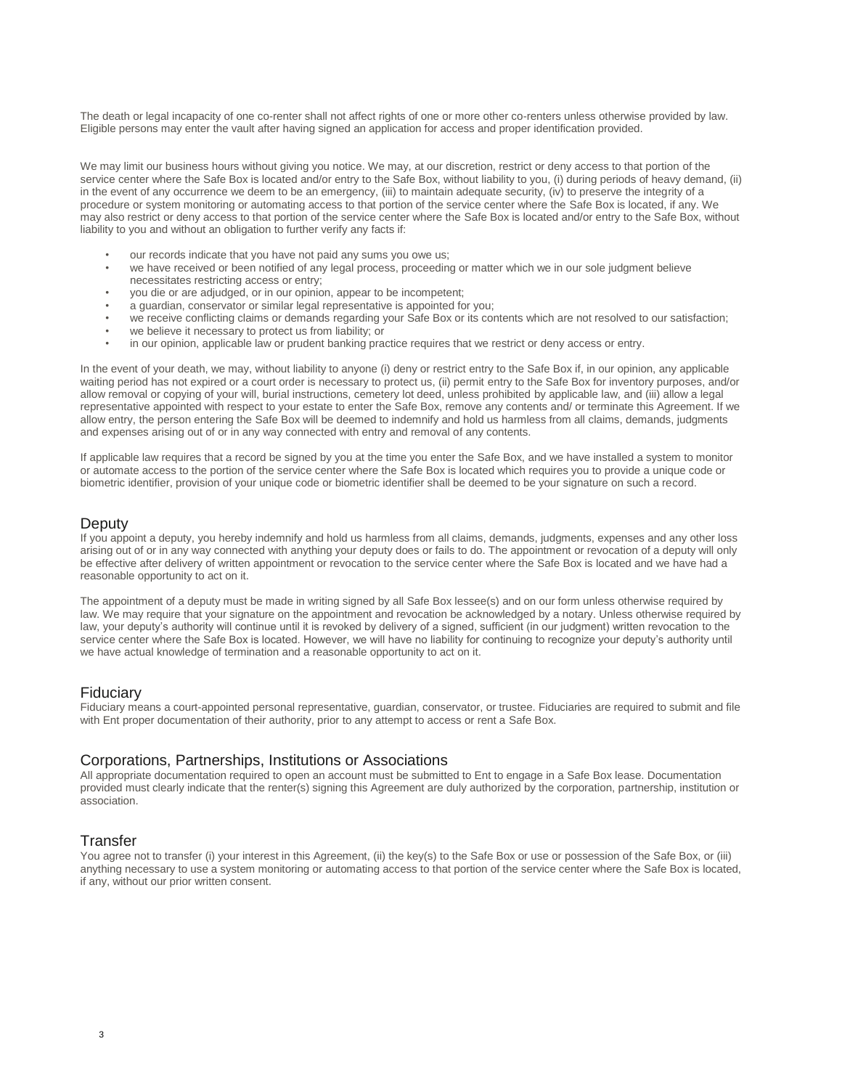The death or legal incapacity of one co-renter shall not affect rights of one or more other co-renters unless otherwise provided by law. Eligible persons may enter the vault after having signed an application for access and proper identification provided.

We may limit our business hours without giving you notice. We may, at our discretion, restrict or deny access to that portion of the service center where the Safe Box is located and/or entry to the Safe Box, without liability to you, (i) during periods of heavy demand, (ii) in the event of any occurrence we deem to be an emergency, (iii) to maintain adequate security, (iv) to preserve the integrity of a procedure or system monitoring or automating access to that portion of the service center where the Safe Box is located, if any. We may also restrict or deny access to that portion of the service center where the Safe Box is located and/or entry to the Safe Box, without liability to you and without an obligation to further verify any facts if:

- our records indicate that you have not paid any sums you owe us:
- we have received or been notified of any legal process, proceeding or matter which we in our sole judgment believe necessitates restricting access or entry;
- you die or are adjudged, or in our opinion, appear to be incompetent;
- a quardian, conservator or similar legal representative is appointed for you;
- we receive conflicting claims or demands regarding your Safe Box or its contents which are not resolved to our satisfaction;
- we believe it necessary to protect us from liability; or
- in our opinion, applicable law or prudent banking practice requires that we restrict or deny access or entry.

In the event of your death, we may, without liability to anyone (i) deny or restrict entry to the Safe Box if, in our opinion, any applicable waiting period has not expired or a court order is necessary to protect us, (ii) permit entry to the Safe Box for inventory purposes, and/or allow removal or copying of your will, burial instructions, cemetery lot deed, unless prohibited by applicable law, and (iii) allow a legal representative appointed with respect to your estate to enter the Safe Box, remove any contents and/ or terminate this Agreement. If we allow entry, the person entering the Safe Box will be deemed to indemnify and hold us harmless from all claims, demands, judgments and expenses arising out of or in any way connected with entry and removal of any contents.

If applicable law requires that a record be signed by you at the time you enter the Safe Box, and we have installed a system to monitor or automate access to the portion of the service center where the Safe Box is located which requires you to provide a unique code or biometric identifier, provision of your unique code or biometric identifier shall be deemed to be your signature on such a record.

#### **Deputy**

If you appoint a deputy, you hereby indemnify and hold us harmless from all claims, demands, judgments, expenses and any other loss arising out of or in any way connected with anything your deputy does or fails to do. The appointment or revocation of a deputy will only be effective after delivery of written appointment or revocation to the service center where the Safe Box is located and we have had a reasonable opportunity to act on it.

The appointment of a deputy must be made in writing signed by all Safe Box lessee(s) and on our form unless otherwise required by law. We may require that your signature on the appointment and revocation be acknowledged by a notary. Unless otherwise required by law, your deputy's authority will continue until it is revoked by delivery of a signed, sufficient (in our judgment) written revocation to the service center where the Safe Box is located. However, we will have no liability for continuing to recognize your deputy's authority until we have actual knowledge of termination and a reasonable opportunity to act on it.

## Fiduciary

Fiduciary means a court-appointed personal representative, guardian, conservator, or trustee. Fiduciaries are required to submit and file with Ent proper documentation of their authority, prior to any attempt to access or rent a Safe Box.

## Corporations, Partnerships, Institutions or Associations

All appropriate documentation required to open an account must be submitted to Ent to engage in a Safe Box lease. Documentation provided must clearly indicate that the renter(s) signing this Agreement are duly authorized by the corporation, partnership, institution or association.

### **Transfer**

You agree not to transfer (i) your interest in this Agreement, (ii) the key(s) to the Safe Box or use or possession of the Safe Box, or (iii) anything necessary to use a system monitoring or automating access to that portion of the service center where the Safe Box is located, if any, without our prior written consent.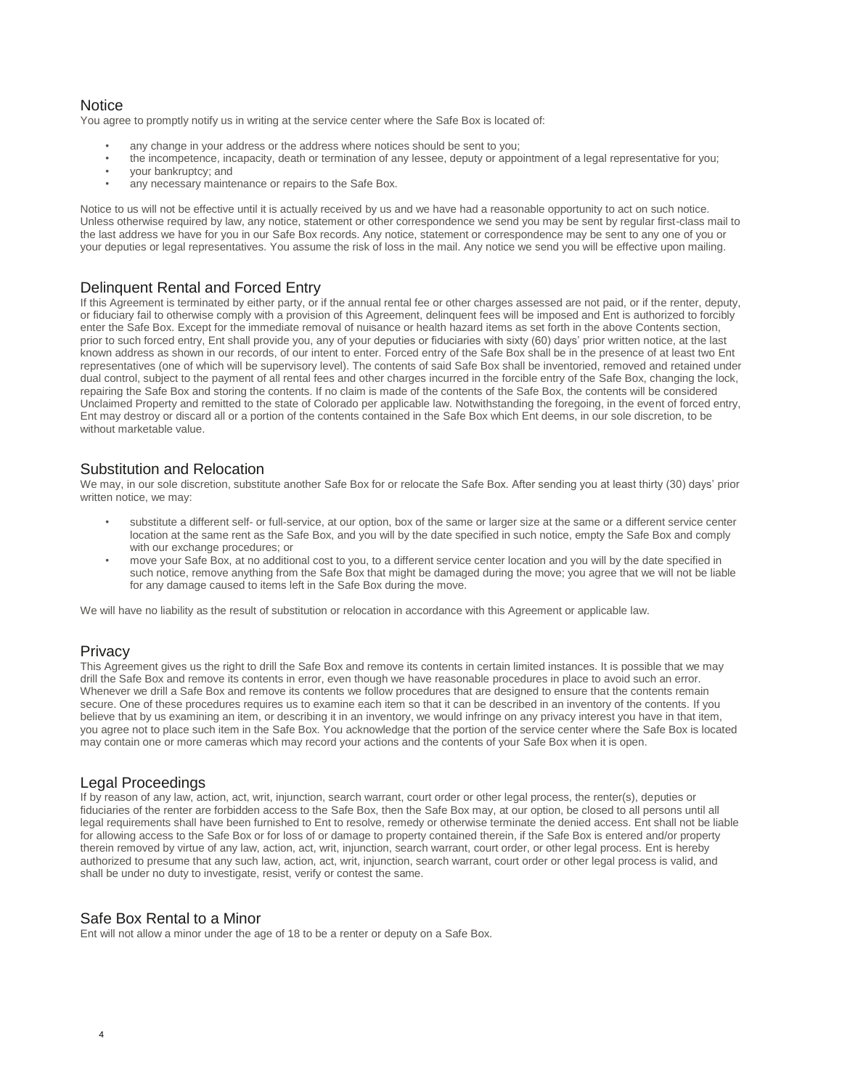## **Notice**

You agree to promptly notify us in writing at the service center where the Safe Box is located of:

- any change in your address or the address where notices should be sent to you;
- the incompetence, incapacity, death or termination of any lessee, deputy or appointment of a legal representative for you;
- your bankruptcy; and
- any necessary maintenance or repairs to the Safe Box.

Notice to us will not be effective until it is actually received by us and we have had a reasonable opportunity to act on such notice. Unless otherwise required by law, any notice, statement or other correspondence we send you may be sent by regular first-class mail to the last address we have for you in our Safe Box records. Any notice, statement or correspondence may be sent to any one of you or your deputies or legal representatives. You assume the risk of loss in the mail. Any notice we send you will be effective upon mailing.

# Delinquent Rental and Forced Entry

If this Agreement is terminated by either party, or if the annual rental fee or other charges assessed are not paid, or if the renter, deputy, or fiduciary fail to otherwise comply with a provision of this Agreement, delinquent fees will be imposed and Ent is authorized to forcibly enter the Safe Box. Except for the immediate removal of nuisance or health hazard items as set forth in the above Contents section, prior to such forced entry, Ent shall provide you, any of your deputies or fiduciaries with sixty (60) days' prior written notice, at the last known address as shown in our records, of our intent to enter. Forced entry of the Safe Box shall be in the presence of at least two Ent representatives (one of which will be supervisory level). The contents of said Safe Box shall be inventoried, removed and retained under dual control, subject to the payment of all rental fees and other charges incurred in the forcible entry of the Safe Box, changing the lock, repairing the Safe Box and storing the contents. If no claim is made of the contents of the Safe Box, the contents will be considered Unclaimed Property and remitted to the state of Colorado per applicable law. Notwithstanding the foregoing, in the event of forced entry, Ent may destroy or discard all or a portion of the contents contained in the Safe Box which Ent deems, in our sole discretion, to be without marketable value.

## Substitution and Relocation

We may, in our sole discretion, substitute another Safe Box for or relocate the Safe Box. After sending you at least thirty (30) days' prior written notice, we may:

- substitute a different self- or full-service, at our option, box of the same or larger size at the same or a different service center location at the same rent as the Safe Box, and you will by the date specified in such notice, empty the Safe Box and comply with our exchange procedures; or
- move your Safe Box, at no additional cost to you, to a different service center location and you will by the date specified in such notice, remove anything from the Safe Box that might be damaged during the move; you agree that we will not be liable for any damage caused to items left in the Safe Box during the move.

We will have no liability as the result of substitution or relocation in accordance with this Agreement or applicable law.

## **Privacy**

This Agreement gives us the right to drill the Safe Box and remove its contents in certain limited instances. It is possible that we may drill the Safe Box and remove its contents in error, even though we have reasonable procedures in place to avoid such an error. Whenever we drill a Safe Box and remove its contents we follow procedures that are designed to ensure that the contents remain secure. One of these procedures requires us to examine each item so that it can be described in an inventory of the contents. If you believe that by us examining an item, or describing it in an inventory, we would infringe on any privacy interest you have in that item, you agree not to place such item in the Safe Box. You acknowledge that the portion of the service center where the Safe Box is located may contain one or more cameras which may record your actions and the contents of your Safe Box when it is open.

## Legal Proceedings

If by reason of any law, action, act, writ, injunction, search warrant, court order or other legal process, the renter(s), deputies or fiduciaries of the renter are forbidden access to the Safe Box, then the Safe Box may, at our option, be closed to all persons until all legal requirements shall have been furnished to Ent to resolve, remedy or otherwise terminate the denied access. Ent shall not be liable for allowing access to the Safe Box or for loss of or damage to property contained therein, if the Safe Box is entered and/or property therein removed by virtue of any law, action, act, writ, injunction, search warrant, court order, or other legal process. Ent is hereby authorized to presume that any such law, action, act, writ, injunction, search warrant, court order or other legal process is valid, and shall be under no duty to investigate, resist, verify or contest the same.

## Safe Box Rental to a Minor

Ent will not allow a minor under the age of 18 to be a renter or deputy on a Safe Box.